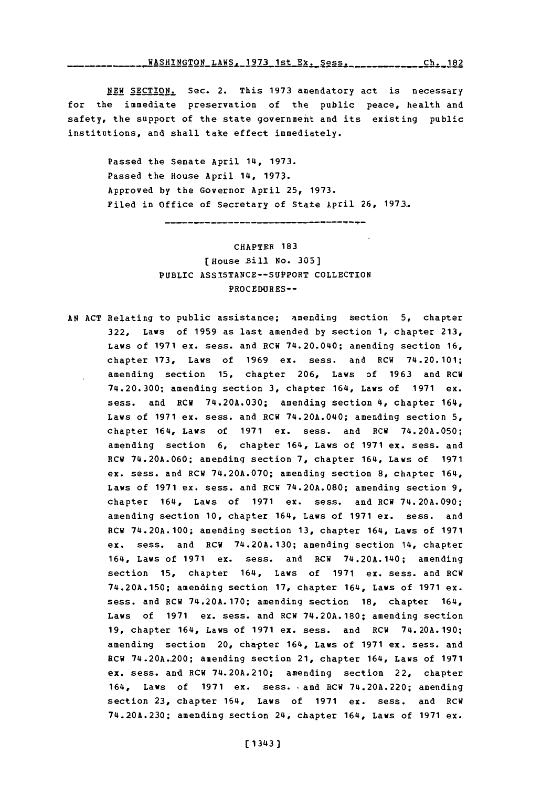## **WASHINGTON\_LAWS, 1973 1st\_Ex. Sess.** Ch. 182

**NEW SECTION.** Sec. 2. This 1973 amendatory act is necessary for the immediate preservation of the public peace, health and safety, the support of the state government and its existing public institutions, and shall take effect immediately.

Passed the Senate April 14, **1973.** Passed the House April 14, **1973.** Approved **by** the Governor April **25, 1973.** Filed in Office of Secretary of State April 26, 1973.

> CHAPTER **183** [ House Bill No. 305] PUBLIC **ASSISTANCE--SUPPORT COLLECTION** PROCEDURES--

**AN ACT** Relating to public assistance; amending section **5,** chapter **322,** Laws of **1959** as last amended **by** section **1,** chapter **213,** Laws of **1971** ex. sess. and RCW 74.20.040; amending section **16,** chapter **173,** Laws of **1969** ex. sess. and RCW 74.20.101; amending section **15,** chapter **206,** Laws of **1963** and RCW 74.20.300; amending section **3,** chapter 164, Laws of **1971** ex. sess. and RCW **74.20A.030;** amending section 4, chapter 164, Laws of **1971** ex. mess, and RCW 74.20A.040; amending section **5,** chapter 164, Laws of **1971** ex. sess. and RCW **74.20A.050;** amending section 6, chapter 164, Laws of **1971 ex.** sess. and RCW **74.20A.060;** amending section **7,** chapter 164, Laws of **1971** ex. mess, and RCW **74.20A.070;** amending section **8,** chapter 164, Laws of 1971 ex. sess. and RCW 74.20A.080; amending section 9, chapter 164, Laws of **1971** ex. mess. and RCW **74.20A.090;** amending section **10,** chapter 164, Laws of **1971** ex. sess. and RCW 74.20A.100; amending section **13,** chapter 164, Laws of **1971** ex. mess, and RCW **74.20A.130;** amending section 14, chapter 164, Laws of **1971** ex. mess. and RCW 74.20A.140; amending section 15, chapter 164, Laws of 1971 ex. sess. and RCW **74.20A.150;** amending section **17,** chapter 164, Laws of **1971** ex. mess, and **RCW 74.20A.170;** amending section **18,** chapter 164, Laws of **1971** ex. sess. and RCW 74.20A.180; amending section **19,** chapter 164, Laws of **1971** ex. mess, and RCW **74.20A.190;** amending section 20, chapter 164, Laws of 1971 ex. sess. and RCW 74.20A.-200; amending section 21, chapter 164, Laws of **1971** ex. sess. and RCW 74.20A.210; amending section 22, chapter 164, Laws of **1971** ex. mess. and RCW 74.20A.220; amending section 23, chapter 164, Laws of 1971 ex. sess. and RCW **74.20A.230;** amending section 24, chapter 164, Laws of **1971** ex.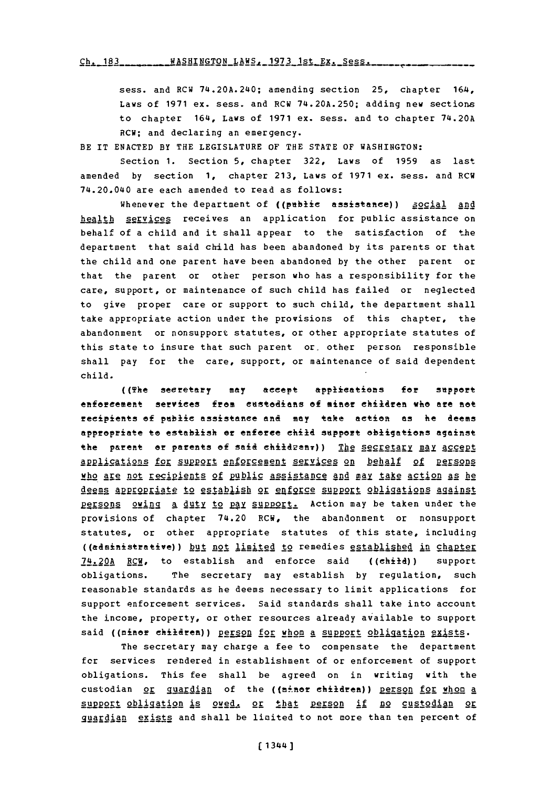sess. and RCW 74.20A.240; amending section 25, chapter 164, Laws of **1971** ex. sess. and RCW **74.20A.250;** adding new sections to chapter 164, Laws of **1971** ex. sess. and to chapter 74.20A RCW; and declaring an emergency.

BE IT **ENACTED** BY THE LEGISLATURE OF THE **STATE** OF WASHINGTON:

Section **1.** Section **5,** chapter **322,** Laws of **1959** as last amended **by** section **1,** chapter **213,** Laws of **1971** ex. sess. and RCW 74.20.040 are each amended to read as follows:

Whenever the department of ((public assistance)) social and health services receives an application for public assistance on behalf of a child and it shall appear to the satisfaction of the department that said child has been abandoned **by** its parents or that the child and one parent have been abandoned **by** the other parent or that the parent or other person who has a responsibility for the care, support, or maintenance of such child has failed or neglected to give proper care or support to such child, the department shall take appropriate action under the provisions of this chapter, the abandonment or nonsupport statutes, or other appropriate statutes of this state to insure that such parent or, other person responsible shall pay for the care, support, or maintenance of said dependent child.

((The secretary may accept applications for support enforcement services from custodians of minor children who are not recipients5 of public assistance and **may** take action **as** he deems approprate te *establish* er enforce child support obligations against the parent or parents of said childzenr)) The secretary may accept applications for support enforcement services on behalf of persons who are not recipients of public assistance and may take action as he deems appropriate to establish or enforce support obligations against Persons owing a duty to pay support. Action may be taken under the provisions of chapter 74.20 RCW, the abandonment or nonsupport statutes, or other appropriate statutes of this state, including ((administrative)) but not limited to remedies established in chapter  $74.20A$  RCW, to establish and enforce said ((child)) support obligations. The secretary may establish **by** regulation, such reasonable standards as he deems necessary to limit applications for support enforcement services. Said standards shall take into account the income, property, or other resources already available to support said ((miner children)) person for whom a support obligation exists.

The secretary may charge a fee to compensate the department fcr services rendered in establishment of or enforcement of support obligations. This fee shall be agreed on in writing with the custodian or quardian of the ((minor children)) person for whom a support obligation is owed, or that person if no custodian or quardian exists and shall be limited to not more than ten percent of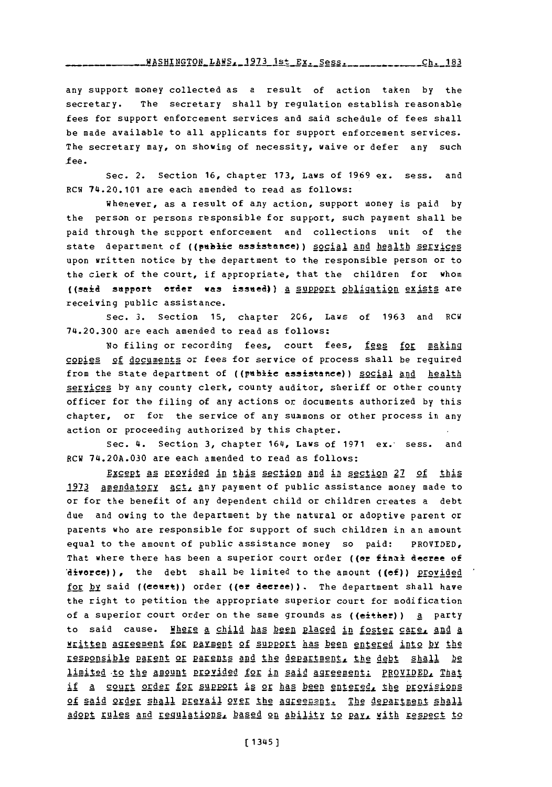WASHINGTON **LAWS.\_1973** 1st Ex.\_Sess. **---- Ch. 183**

any support money collected as a result of action taken by the secretary. The secretary shall **by** regulation establish reasonable fees for support enforcement services and said schedule of fees shall be made available to all applicants for support enforcement services. The secretary may, on showing of necessity, waive or defer any such -fee.

Sec. 2. Section **16,** chapter **173,** Laws of **1969** ex. sess. and RCW 74.20.101 are each amended to read as follows:

Whenever, as a result of any action, support money is paid by the person or persons responsible for support, such payment shall be paid through the support enforcement and collections unit of the state department of ((public assistance)) social and health services upon written notice **by** the department to the responsible person or to the clerk of the court, if appropriate, that the children for whom ((said support order was issued)) a support obligation exists are receiving public assistance.

Sec. **3.** Section **15,** chapter **206,** Laws of **1963** and BCW 74.20.300 are each amended to read as follows:

No filing or recording fees, court fees, fees for making copies of documents or fees for service of process shall be required from the state department of ((public assistance)) social and health services **by** any county clerk, county auditor, sheriff or other county officer for the filing of any actions or documents authorized **by** this chapter, or for the service of any summons or other process in any action or proceeding authorized **by** this chapter.

Sec. 4. Section **3,** chapter 164, Laws of **1971** ex.- sess. and RCW **74.20A.030** are each amended to read as follows:

Except as provided in this section and in section 27 of this 1973 amendatory  $act_1$  any payment of public assistance money made to or for the benefit of any dependent child or children creates a debt due and owing to the department **by** the natural or adoptive parent or parents who are responsible for support of such children in an amount equal to the amount of public assistance money so paid: PROVIDED, That where there has been a superior court order ((or final decree of  $i$ **divorce))**, the debt shall be limited to the amount ((of)) provided for by said ((court)) order ((or decree)). The department shall have the right to petition the appropriate superior court for modification of a superior court order on the same grounds as ((either)) a party to said cause. Hhere a child has been placed in foster care, and a wrEitten agreement1 **for** RAY.-M! **2f** §2R1 ha been enRtered into by the responsible parent or parents and the department, the debt shall be limited to the amount provided for in said agreement: PROVIDED, That if a court order for support is or has been entered, the provisions of said order shall prevail over the agreement. The department shall **Adopt rules and regulations, based on ability to pay, with respect to**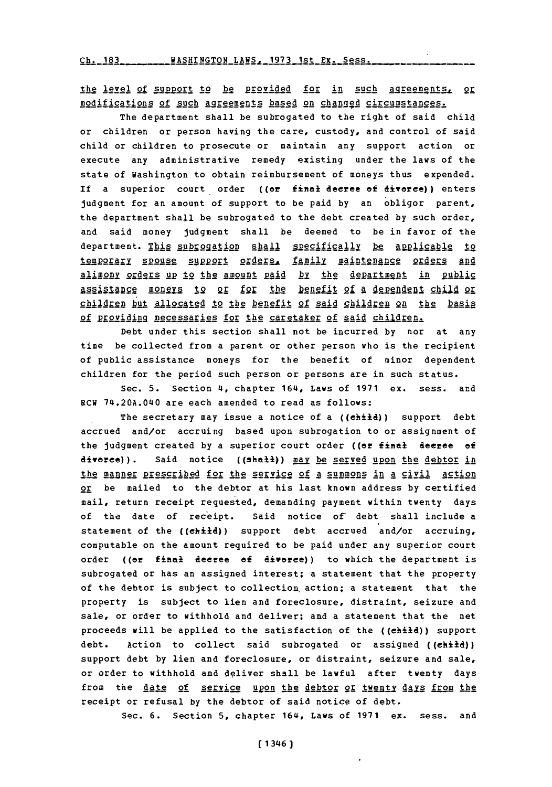the level of support to be provided for in such agreements, or modifications of such agreements based on changed circumstances.

The department shall be subrogated to the right of said child or children or person having the care, custody, and control of said child or children to prosecute or maintain any support action or execute any administrative remedy existing under the laws of the state of Washington to obtain reimbursement of moneys thus expended. If a superior court order ((or final **decree of divorce)) enters** judgment for an amount of support to be paid **by** an obligor parent, the department shall be subrogated to the debt created by such order, and said money judgment shall be deemed to be in favor of the department. This subrogation shall specifically be applicable to temporary spouse support orders, family maintenance orders and alimony orders up to the amount paid by the department in public **A §21RS** stance to **9** o **for** the benefit of a dependent child or children but allocated to the benefit of said children on the basis of providing necessaries for the caretaker of said children.

Debt under this section shall not be incurred **by** nor at any time be collected from a parent or other person who is the recipient of public assistance moneys for the benefit of minor dependent children for the period such person or persons are in such status.

Sec. **5.** Section 4, chapter 164, Laws of **1971** ex. sess. and RCW 74.20A.040 are each amended to read as follows:

The secretary may issue a notice of a ((child)) support debt accrued and/or accruing based upon subrogation to or assignment of the judgment created **by** a superior court order ((er final decree **of** divorce)). Said notice ((shall)) may be served upon the debtor in the manner prescribed for the service of a summons in a civil action or be mailed to the debtor at his last known address **by** certified mail, return receipt requested, demanding payment within twenty days of the date of receipt. Said notice of debt shall include a statement of the ((child)) support debt accrued and/or accruing, computable on the amount required to be paid under any superior court order ((or final decree of divorce)) to which the department is subrogated or has an assigned interest; a statement that the property of the debtor is subject to collection action: a statement that the property is subject to lien and foreclosure, distraint, seizure and sale, or order to withhold and deliver; and a statement that the net proceeds will be applied to the satisfaction of the ((child)) support debt. Action to collect said subrogated or assigned ((child)) support debt **by** lien and foreclosure, or distraint, seizure and sale, or order to withhold and deliver shall be lawful after twenty days from the date of service upon the debtor or twenty days from the receipt or refusal **by** the debtor of said notice of debt.

Sec. **6.** Section **5,** chapter 164, Laws of **1971** ex. sess. and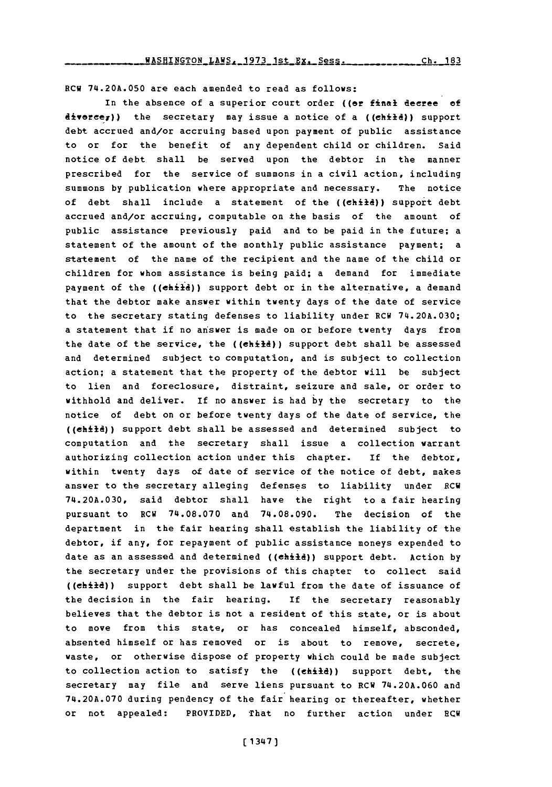8CM **74.20A.050** are each amended to read as follows:

In the absence of a superior court order ((or final decree **of** diverce<sub>7</sub>)) the secretary may issue a notice of a ((child)) support debt accrued and/or accruing based upon payment of public assistance to or for the benefit of any dependent child or children. Said notice of debt shall be served upon the debtor in the manner prescribed for the service of summons in a civil action, including summons **by** publication where appropriate and necessary. The notice of debt shall include a statement of the ((child)) support debt accrued and/or accruing, computable on the basis of the amount of public assistance previously paid and to be paid in the future; a statement of the amount of the monthly public assistance payment; a statement of the name of the recipient and the name of the child or children for whom assistance is being paid; a demand for immediate payment of the ((child)) support debt or in the alternative, a demand that the debtor make answer within twenty days of the date of service to the secretary stating defenses to liability under RCW **74.20A.030;** a statement that if no answer is made on or before twenty days from the date of the service, the ((ehild)) support debt shall be assessed and determined subject to computation, and is subject to collection action; a statement that the property of the debtor will be subject to lien and foreclosure, distraint, seizure and sale, or order to withhold and deliver. If no answer **is** had **by** the secretary to the notice of debt on or before twenty days of the date of service, the ((ehild)) support debt shall be assessed and determined subject to computation and the secretary shall issue a collection warrant authorizing collection action under this chapter. If the debtor, within twenty days of date of service of the notice of debt, makes answer to the secretary alleging defenses to liability under RCM **74.20A.030,** said debtor shall have the right to a fair hearing pursuant to RCW **74.08.070** and **74.08.090.** The decision of the department in the fair hearing shall establish the liability of the debtor, if any, for repayment of public assistance moneys expended to date as an assessed and determined ((child)) support debt. Action by the secretary under the provisions of this chapter to collect said ((child)) support debt shall be lawful from the date of issuance of the decision in the fair hearing. **If** the secretary reasonably believes that the debtor is not a resident of this state, or is about to move from this state, or has concealed himself, absconded, absented himself or has removed or is about to remove, secrete, waste, or otherwise dispose of property which could be made subject to collection action to satisfy the ((ehild)) support debt, the secretary may file and serve liens pursuant to RCW **74.20A.060** and **74.20A.070** during pendency of the fair hearing or thereafter, whether or not appealed: PROVIDED, That no further action under 8CM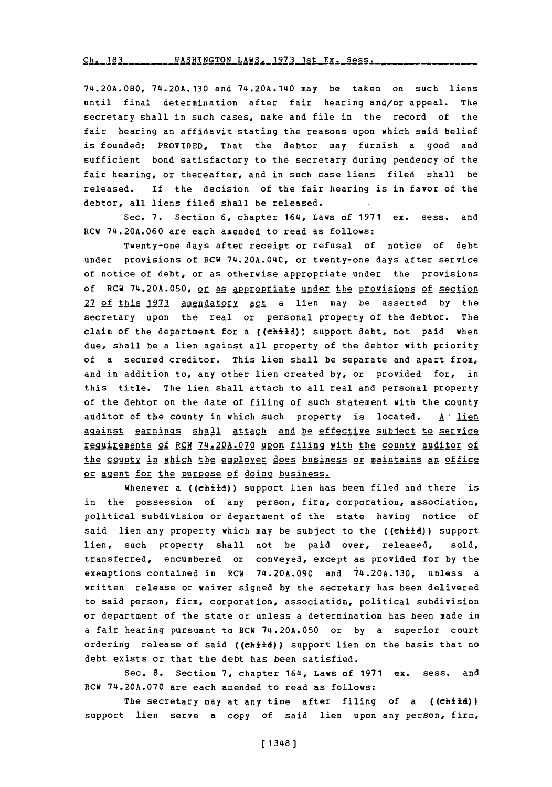Ch. 183 \_\_\_\_\_\_\_\_ WASHINGTON LAWS, 1973 1st Ex. Sess.

**74.20A.080, 74.20A. 130** and 74.20A.140 may be taken on such liens until final determination after fair hearing and/or appeal. The secretary shall in such cases, make and file in the record of the fair hearing an affidavit stating the reasons upon which said belief is founded: PROVIDED, That the debtor may furnish a good and sufficient bond satisfactory to the secretary during pendency of the fair hearing, or thereafter, and in such case liens filed shall be released. **If** the decision of the fair hearing is in favor of the debtor, all liens filed shall be released.

Sec. **7.** Section **6,** chapter 164, Laws of **1971** ex. sess. and RCW **74.20A.060** are each amended to read as follows:

Twenty-one days after receipt or refusal of notice of debt under provisions of RCW 74.20A.04C, or twenty-one days after service of notice of debt, or as otherwise appropriate under the provisions of RCW 74.20A.050, <u>or as appropriate under the provisions of section</u> **27** of this **1973** amendatory. **act** a lien may be asserted **by** the secretary upon the real or personal property of the debtor. The claim of the department for a ((chiid)) support debt, not paid when due, shall be a lien against all property of the debtor with priority of a secured creditor. This lien shall be separate and apart from, and in addition to, any other lien created **by,** or provided for, in this title. The lien shall attach to all real and personal property of the debtor on the date of filing of such statement with the county auditor of the county in which such property is located. **A** lien against earnings shall attach and be effective subject to service reguirements of RCW 74.20A.070 upon filing with the county auditor of the county in which the employer does business or maintains an office or agent for the purpose of doing business.

Whenever a ((child)) support lien has been filed and there is in the possession of any person, firm, corporation, association, political subdivision or department of the state having notice of said lien any property which may be subject to the ((child)) support lien, such property shall not be paid over, released, sold, transferred, encumbered or conveyed, except as provided for **by** the exemptions contained in RCW **74.20A.090** and 14.20A.130, unless a written release or waiver signed **by** the secretary has been delivered to said person, firm, corporation, association, political subdivision or department of the state or unless a determination has been made in a fair hearing pursuant to RCW **74.20A.050** or **by** a superior court ordering release of said ((child)) support lien on the basis that no debt exists or that the debt has been satisfied.

Sec. **8.** Section **7,** chapter 164, Laws of **1971** ex. sess. and RCW **74.20A.070** are each amended to read as follows:

The secretary may at any time after filing of a ((child)) support lien serve a copy of said lien upon any person, firm,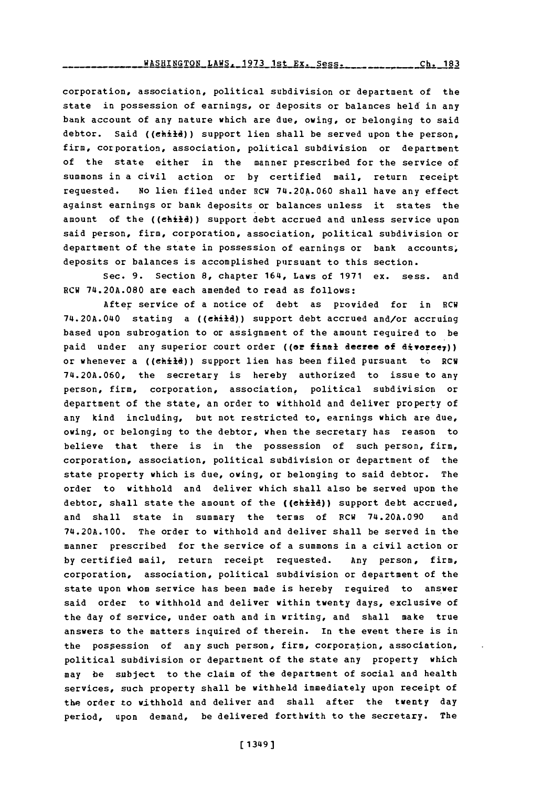corporation, association, political subdivision or department of the state in possession of earnings, or deposits or balances held in any bank account of any nature which are due, owing, or belonging to said debtor. Said ((child)) support lien shall be served upon the person. firm, corporation, association, political subdivision or department of the state either in the manner prescribed for the service of summons in a civil action or **by** certified mail, return receipt requested. No lien filed under RCW 74.20A.060 shall have any effect against earnings or bank deposits or balances unless it states the amount of the ((child)) support debt accrued and unless service upon said person, firm, corporation, association, political subdivision or department of the state in possession of earnings or bank accounts, deposits or balances is accomplished pursuant to this section.

Sec. **9.** Section **8,** chapter 164, Laws of **1971** ex. sess. and RCW **74.20A.080** are each amended to read as follows:

After service of a notice of debt as provided for in RCW 74.20A.040 stating a ((child)) support debt accrued and/or accruing based upon subrogation to or assignment of the amount required to be paid under any superior court order ((or final decree of divorce<sub>7</sub>)) or whenever a ((child)) support lien has been filed pursuant to RCW **74.20A.060,** the secretary is hereby authorized to issue to any person, firm, corporation, association, political subdivision or department of the state, an order to withhold and deliver property of any kind including, but not restricted to, earnings which are due, owing, or belonging to the debtor, when the secretary has reason to believe that there is in the possession of such person, firm, corporation, association, political subdivision or department of the state property which is due, owing, or belonging to said debtor. The order to withhold and deliver which shall also be served upon the debtor, shall state the amount of the ((chiid)) support debt accrued, and shall state in summary the terms of FCW **74.20A.090** and 74.20A.100. The order to withhold and deliver shall be served in the manner prescribed for the service of a summons in a civil action or **by** certified mail, return receipt requested. Any person, firm, corporation, association, political subdivision or department of the state upon whom service has been made is hereby required to answer said order to withhold and deliver within twenty days, exclusive of the day of service, under oath and in writing, and shall make true answers to the matters inquired of therein. In the event there is in the pospession of any such person, firm, corporation, association, political subdivision or department of the state any property which may be subject to the claim of the department of social and health services, such property shall be withheld immediately upon receipt of the order to withhold and deliver and shall after the twenty day period, upon demand, be delivered forthwith to the secretary. The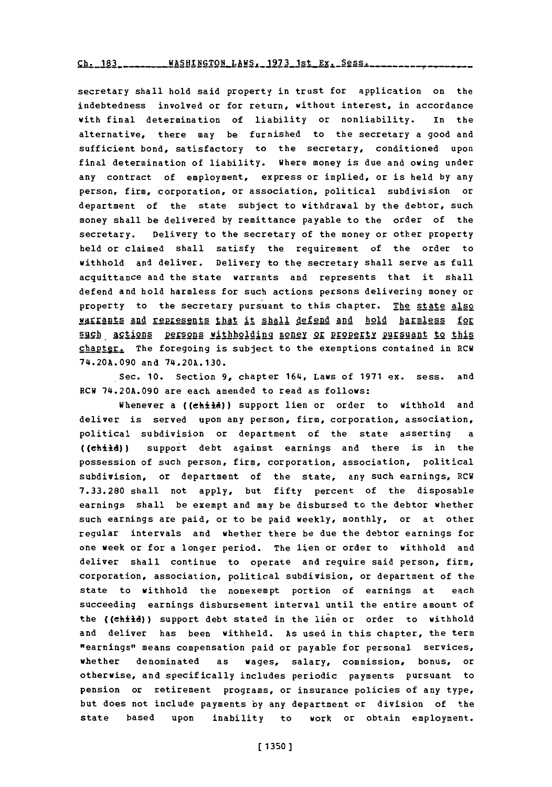## Ch. 183 WASHINGTON LAWS, 1973 1st Ex. Sess ....

secretary shall hold said property in trust for application on the indebtedness involved or for return, without interest, in accordance with final determination of liability or nonliability. In the alternative, there may be furnished to the secretary a good and sufficient bond, satisfactory to the secretary, conditioned upon final determination of liability. where money is due and owing under any contract of employment, express or implied, or is held **by** any person, firm, corporation, or association, political subdivision or department of the state subject to withdrawal **by** the debtor, such money shall be delivered **by** remittance payable to the order of the secretary. Delivery to the secretary of the money or other property held or claimed shall satisfy the requirement of the order to withhold and deliver. Delivery to the secretary shall serve as full acquittance and the state warrants and represents that it shall defend and hold harmless for such actions persons delivering money or property to the secretary pursuant to this chapter. The state also **MAITADES AND TEPERSENTS that it shall defend and hold harmless for U.9h** A9112119~fl **.212p** yithh~ldiIng Im21L§ o **p22g11Y.2u** n **t~KRA1** o this chapter. The foregoing is subject to the exemptions contained in RCW **74.20A.090** and **74.20A.130.**

Sec. **10.** Section **9,** chapter 164, Laws of **1971** ex. sess. and RCW **74.20A.090** are each amended to read as follows:

Whenever a ((child)) support lien or order to withhold and deliver is served upon any person, firm, corporation, association, political subdivision or department of the state asserting ((child)) support debt against earnings and there is in the possession of such person, firm, corporation, association, political subdivision, or department of the state, any such earnings, RCW **7.33.280** shall not apply, but fifty percent of the disposable earnings shall be exempt and may be disbursed to the debtor whether such earnings are paid, or to be paid weekly, monthly, or at other regular intervals and whether there be due the debtor earnings for one week or for a longer period. The lien or order to withhold and deliver shall continue to operate and require said person, firm, corporation, association, political subdivision, or department of the state to withhold the nonexempt portion of earnings at each succeeding earnings disbursement interval until the entire amount of the ((child)) support debt stated in the lien or order to withhold and deliver has been withheld. As used in this chapter, the term "earnings" means compensation paid or payable for personal services, whether denominated as wages, salary, commission, bonus, or otherwise, and specifically includes periodic payments pursuant to pension or retirement programs, or insurance policies of any type, but does not include payments **by** any department or division of the state based upon inability to work or obtain employment.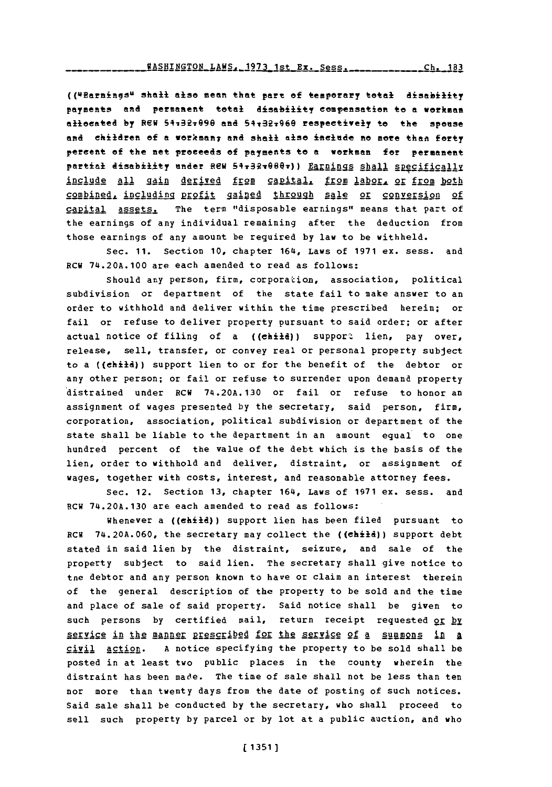(('4Parningsu shall also mean that part **ef** temporary total disability payments and permanent total disability compensation to **a** workman allocated by REW 54:32:090 and 54:32:060 respectively to the spouse and children of a workman; and shall also include no more than forty percent **of** the net proceeds **of** payments to e workman for permanent partial disability under REW 54+32+080+)) Earnings shall specifically include all gain derived from capital, from labor, or from both combined, including profit gained through sale or conversion of capital assets. The term "disposable earnings" means that part of the earnings of any individual remaining after the deduction from those earnings of any amount be required **by** law to be withheld.

sec. **11.** Section **10,** chapter 164, Laws of **1971** ex. sess. and RCW 74.20A.100 are each amended to read as follows:

Should any person, firm, corporation, association, political subdivision or department of the state fail to make answer to an order to withhold and deliver within the time prescribed herein; or fail or refuse to deliver property pursuant to said order; or after actual notice of filing of a  $((ehit)$  support lien, pay over, release, sell, transfer, or convey real or personal property subject to a ((ehild)) support lien to or for the benefit of the debtor or any other person; or fail or refuse to surrender upon demand property distrained under RCW **74.20A.130** or fail or refuse to honor an assignment of wages presented **by** the secretary, said person, firm, corporation, association, political subdivision or department of the state shall be liable to the department in an amount equal to one hundred percent of the value of the debt which is the basis of the lien, order to withhold and deliver, distraint, or assignment of wages, together with costs, interest, and reasonable attorney fees.

Sec. 12. Section **13,** chapter 164, Laws of **1971** ex. sess. and RCW **74.20A.130** are each amended to read as follows.:

Whenever a ((chiid)) support lien has been filed pursuant to RCW 74.20A.060, the secretary may collect the ((child)) support debt stated in said lien **by** the distraint, seizure, and sale of the property subject to said lien. The secretary shall give notice to tne debtor and any person known to have or claim an interest therein of the general description of the property to be sold and the time and place of sale of said property. Said notice shall be given to such persons by certified mail, return receipt requested or by service in the manner prescribed for the service of a summons in a civil action. **A** notice specifying the property to be sold shall be posted in at least two public places in the county wherein the distraint has been made. The time of sale shall not be less than ten nor more than twenty days from the date of posting of such notices. Said sale shall be conducted **by** the secretary, who shall proceed to sell such property **by** parcel or **by** lot at a public auction, and who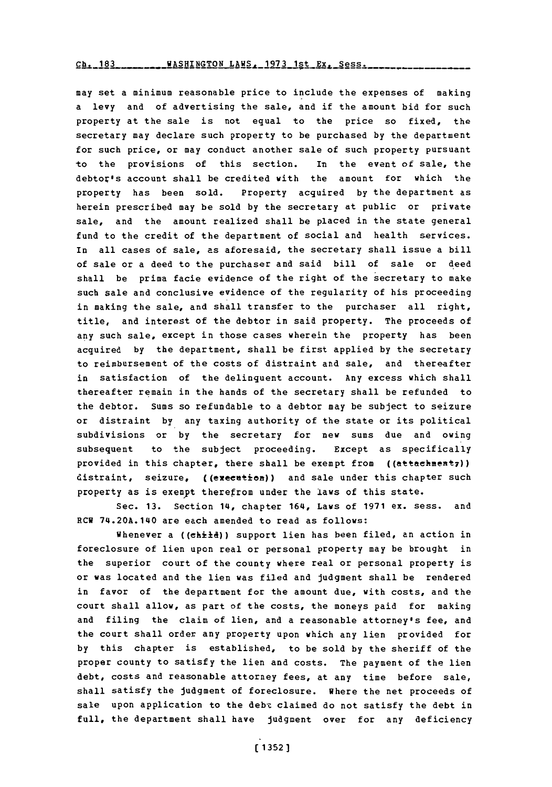Ch. 183WASHINGTON LAWS. **1973** 1st Ex. Sess. **Ch. 183**

may set a minimum reasonable price to include the expenses of making a levy and of advertising the sale, and if the amount bid for such property at the sale is not equal to the price so fixed, the secretary may declare such property to be purchased **by** the department for such price, or may conduct another sale of such property pursuant to the provisions of this section. In the event of sale, the debtoz's account shall be credited with the amount for which the property has been sold. Property acquired **by** the department as herein prescribed may be sold **by** the secretary at public or private sale, and the amount realized shall be placed in the state general fund to the credit of the department of social and health services. In all cases of sale, as aforesaid, the secretary shall issue a bill of sale or a deed to the purchaser and said bill of sale or deed shall be prima facie evidence of the right of the secretary to make such sale and conclusive evidence of the regularity of his proceeding in making the sale, and shall transfer to the purchaser all right, title, and interest of the debtor in said property. The proceeds of any such sale, except in those cases wherein the property has been acquired **by** the department, shall be first applied **by** the secretary to reimbursement of the costs of distraint and sale, and thereafter in satisfaction of the delinquent account. Any excess which shall thereafter remain in the hands of the secretary shall be refunded to the debtor. Sums so refundable to a debtor may be subject to seizure or distraint **by** any taxing authority of the state or its political subdivisions or **by** the secretary for new sums due and owing subsequent to the subject proceeding. Except as specifically provided in this chapter, there shall be exempt from  $((at the number 7))$ distraint, seizure, ((execution)) and sale under this chapter such property as is exemyt therefrom under the laws of this state.

Sec. **13.** Section 14, chapter 164, Laws of **1971** ex. sess. and RCW 74.20A.140 are each amended to read as follows:

Whenever a ((ehilf)) support lien has been filed, an action in foreclosure of lien upon real or personal property may be brought in the superior court of the county where real or personal property is or was located and the lien was filed and judgment shall be rendered in favor of the department for the amount due, with costs, and the court shall allow, as part of the costs, the moneys paid for making and filing the claim of lien, and a reasonable attorney's fee, and the court shall order any property upon which any lien provided for **by** this chapter is established, to be sold **by** the sheriff of the proper county to satisfy the lien and costs. The payment of the lien debt, costs and reasonable attorney fees, at any time before sale, shall satisfy the judgment of foreclosure. where the net proceeds of sale upon application to the debt claimed do not satisfy the debt in full, the department shall have judgment over for any deficiency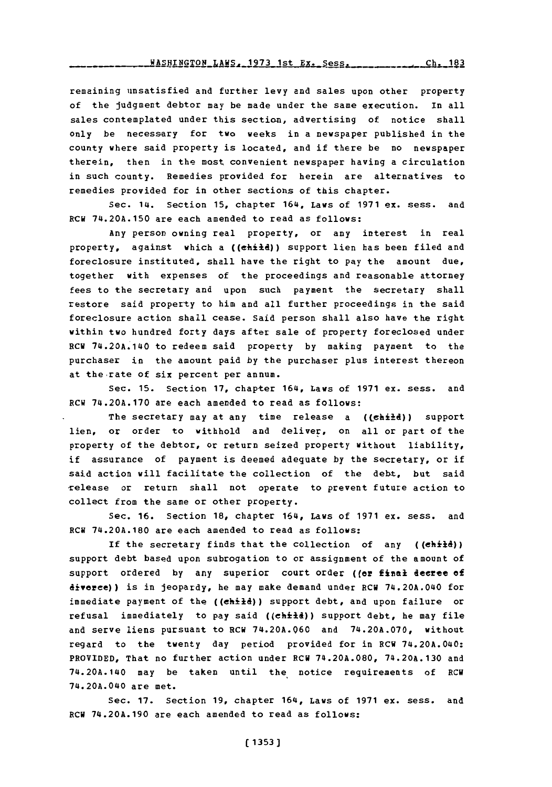remaining unsatisfied and further levy and sales upon other property of the judgment debtor may be made under the same execution. In all sales contemplated under this section, advertising of notice shall only be necessary for two weeks in a newspaper published in the county where said property is located, and if there be no newspaper therein, then in the most convenient newspaper having a circulation in such county. Remedies provided for herein are alternatives to remedies provided for in other sections of this chapter.

Sec. 14. Section **15,** chapter 164, Laws of **1971** ex. sess. and RCW **74.20A.150** are each amended to read as follows:

Any person owning real property, or any interest in real property, against which a ((chiid)) support lien has been filed and foreclosure instituted, shall have the right to pay the amount due, together with expenses of the proceedings and reasonable attorney fees to the secretary and upon such payment the secretary shall restore said property to him and all further proceedings in the said foreclosure action shall cease. Said person shall also have the right within two hundred forty days after sale of property foreclosed under RCH 74.20A.140 to redeem said property **by** making payment to the purchaser in the amount paid **by** the purchaser plus interest thereon at the-rate of six percent per annum.

Sec. **15.** Section **17,** chapter 164, Laws of **1971** ex. sess. and RCW **74.20A.170** are each amended to read as follows:

The secretary may at any time release a ((child)) support lien, or order to withhold and deliver, on all or part of the property of the debtor, or return seized property without liability, if assurance of payment is deemed adequate **by** the secretary, or if said action will facilitate the collection of the debt, but said release or return shall not operate to prevent future action to collect from the same or other property.

Sec. **16.** Section **18,** chapter 164, Laws of **1971** ex. sess. and RCR **74.20A.180** are each amended to read as follows:

If the secretary finds that the collection of any  $((eh\ddot{i}\ddot{t}\ddot{d}))$ support debt based upon subrogation to or assignment of the amount of support ordered by any superior court order ((er final decree of divorce)) is in jeopardy, he may make demand under RCW 74.20A.040 for immediate payment of the ((child)) support debt, and upon failure or refusal immediately to pay said ((chiid)) support debt, he may file and serve liens pursuant to RCW **74.20A.Q60** and **74.20A.070,** without regard to the twenty day period provided for in RCW 74.20A.040: PROVIDED, That no further action under RCW **74.20A.080, 74.20A.130** and 74.20A.140 may be taken until the, notice requirements of RCW 74.20A.040 are met.

Sec. **17.** Section **19,** chapter 164, Laws of **1971** ex. sess. and RCW **74.20A.190** are each amended to read as follows: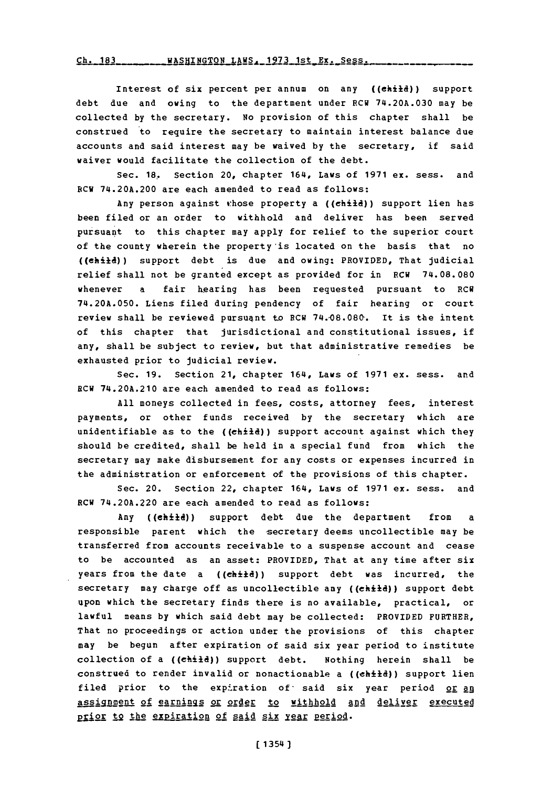Ch. 183 WASHINGTON LAWS, 1973 1st Ex. Sess.

Interest of six percent per annum on any ((child)) support debt due and owing to the department under **RCW 74.20A.030** may be collected **by** the secretary. **No** provision of this chapter shall be construed to require the secretary to maintain interest balance due accounts and said interest may be waived **by** the secretary, if said waiver would facilitate the collection of the debt.

Sec. **18.** Section 20, chapter 164, Laws of **1971** ex. sess. and RCW 74.20A.200 are each amended to read as follows:

Any person against rhose property a ((child)) support lien has been filed or an order to withhold and deliver has been served pursuant to this chapter may apply for relief to the superior court of the county wherein the property'is located on the basis that no ((child)) support debt is due and owing: PROVIDED, That judicial relief shall not be granted except as provided for in RCW **74.08.080** whenever a fair hearing has been requested pursuant to RCW **74.20A.050.** Liens filed during pendency of fair bearing or court review shall be reviewed pursuant to RCw **74.-08.080-.** It is the intent of this chapter that jurisdictional and constitutional issues, if any, shall be subject to review, but that administrative remedies be exhausted prior to judicial review.

Sec. **19.** Section 21, chapter 164, Laws of **1971** ex. sess. and RCW 74.20A.210 are each amended to read as follows:

**All** moneys collected in fees, costs, attorney fees, interest payments, or other funds received **by** the secretary which are unidentifiable as to the ( $(\text{child})$ ) support account against which they should be credited, shall be held in a special fund from which the secretary may make disbursement for any costs or expenses incurred in the administration or enforcement of the provisions of this chapter.

Sec. 20. Section 22, chapter 164, Laws of **1971** ex. sess. and RCW 74.20A.220 are each amended to read as follows:

Any ((ehild)) support debt due the department from a responsible parent which the secretary deems uncollectible may be transferred from accounts receivable to a suspense account and cease to be accounted as an asset: PROVIDED, That at any time after six years from the date a ((child)) support debt was incurred, the secretary may charge off as uncollectible any ((child)) support debt upon which the secretary finds there is no available, practical, or lawful means **by** which said debt may be collected: PROVIDED FURTHER, That no proceedings or action under the provisions of this chapter may be begun after expiration of said six year period to institute collection of a ((child)) support debt. Nothing herein shall be construed to render invalid or nonactionable a ( $\text{(child)}$ ) support lien filed prior to the expiration of said six year period or an assignment of earnings or order to withhold and deliver executed prior to the expiration of said six year period.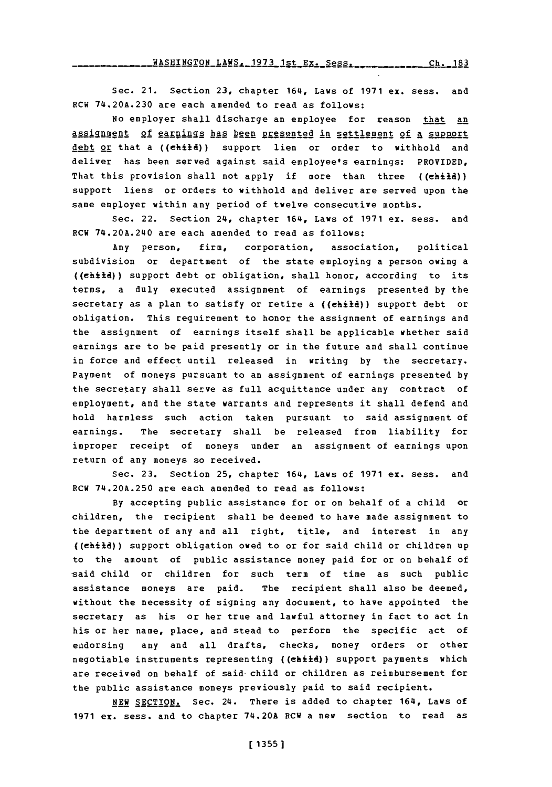**WAS** HINGTON LAWS 19 **73 ist** E.Ss **Cli.\_183**

Sec. 21. Section **23,** chapter 164, Laws of **1971** ex. sess. and RCW **74.20A.230** are each amended to read as follows:

No employer shall discharge an employee for reason that an assignment of earnings has been presented in settlement of a support debt or that a ((child)) support lien or order to withhold and deliver has been served against said employee's earnings: PROVIDED, That this provision shall not apply if more than three ((child)) support liens or orders to withhold and deliver are served upon the same employer within any period of twelve consecutive months.

Sec. 22. Section 24, chapter 164, Laws of **1971** ex. sess. and RCW 74.20A.240 are each amended to read as follows:

Any person, firm, corporation, association, political subdivision or department of the state employing a person owing a ((child)) support debt or obligation, shall honor, according to its terms, a duly executed assignment of earnings presented **by** the secretary as a plan to satisfy or retire a  $((\n \epsilon \cdot \hat{h})\n )$  support debt or obligation. This requirement to honor the assignment of earnings and the assignment of earnings itself shall be applicable whether said earnings are to be paid presently or in the future and shall continue in force and effect until released in writing **by** the secretary. Payment of moneys pursuant to an assignment of earnings presented **by** the secretary shall serve as full acquittance under any contract of employment, and the state warrants and represents it shall defend and hold harmless such action taken pursuant to said assignment of earnings. The secretary shall be released from liability for improper receipt of moneys under an assignment of earnings upon return of any moneys so received.

Sec. **23.** Section **25,** chapter 164, Laws of **1971** ex. sess. and RCW **74.20A.250** are each amended to read as follows:

**By** accepting public assistance for or on behalf of a child or children, the recipient shall be deemed to have made assignment to the department of any and all right, title, and interest in any ((child)) support obl.igation owed to or for said child or children up to the amount of public assistance money paid for or on behalf of said child or children for such term of time as such public assistance moneys are paid. The recipient shall also be deemed, without the necessity of signing any document, to have appointed the secretary as his or her true and lawful attorney in fact to act in his or her name, place, and stead to perform the specific act of endorsing any and all drafts, checks, money orders or other negotiable instruments representing ((child)) support payments which are received on behalf of said-child or children as reimbursement for the public assistance moneys previously paid to said recipient.

**NEW** SECTION. Sec. 24. There is added to chapter 164, Laws of **1971** ex. sess. and to chapter 74.20A RCW a new section to read as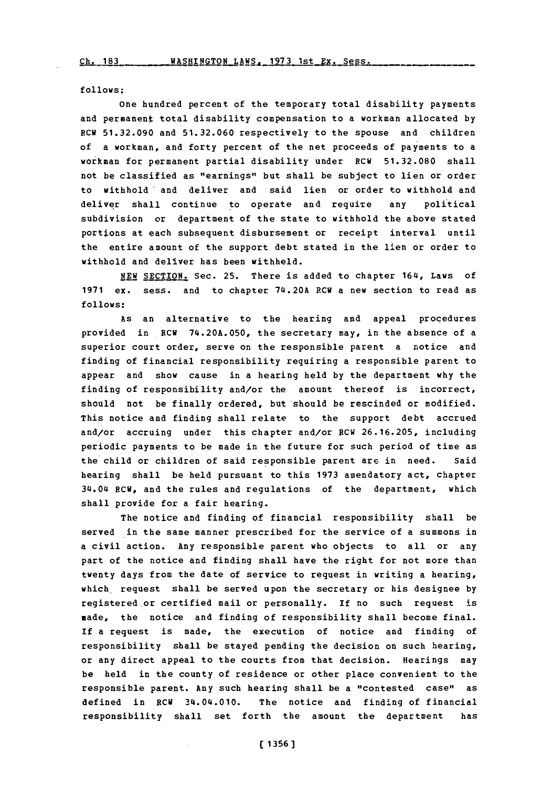**follows;**

one hundred percent of the temporary total disability payments and permanent total disability compensation to a workman allocated **by** RCW **51.32.090** and **51.32.060** respectively to the spouse and children of a workman, and forty percent of the net proceeds of payments to a workman for permanent partial disability under RCW **51.32.080** shall not be classified as "earnings" but shall be subject to lien or order to withhold and deliver and said lien or order to withhold and deliver shall continue to operate and require any political subdivision or department of the state to withhold the above stated portions at each subsequent disbursement or receipt interval until the entire amount of the support debt stated in the lien or order to withhold and deliver has been withheld.

NEW SECTION. Sec. 25. There is added to chapter 164, Laws of **1971** ex. sess. and to chapter 74.20A RCW a new section to read as **follows:**

As an alternative to the hearing and appeal procedures provided in **RCW 74.20A.050,** the secretary may, in the absence of a superior court order, serve on the responsible parent a notice and finding of financial responsibility requiring a responsible parent to appear and show cause in a hearing held **by** the department why the finding of responsibility and/or the amount thereof is incorrect, should not be finally ordered, but should be rescinded or modified. This notice and finding shall relate to the support debt accrued and/or accruing under this chapter and/or RCW **26.16.205,** including periodic payments to be made in the future for such period of time as the child or children of said responsible parent are in need. Said hearing shall be held pursuant to this **1973** amendatory act, chapter 314.04 RCW, and the rules and regulations of the department, which shall provide for a fair hearing.

The notice and finding of financial responsibility shall be served in the same manner prescribed for the service of a summons in a civil action. Any responsible parent who objects to all or any part of the notice and finding shall have the right for not more than twenty days from the date of service to request in writing a hearing, which. request shall be served upon the secretary or his designee **by** registered or certified mail or personally. If no such request is made, the notice and finding of responsibility shall become final. If a request is made, the execution of notice and finding of responsibility shall be stayed pending the decision on such hearing, or any direct appeal to the courts from that decision. Hearings may be held in the county of residence or other place convenient to the responsible parent. Any such hearing shall be a "contested case"' as defined in RCW 34.04.010. The notice and finding of financial responsibility shall set forth the amount the department has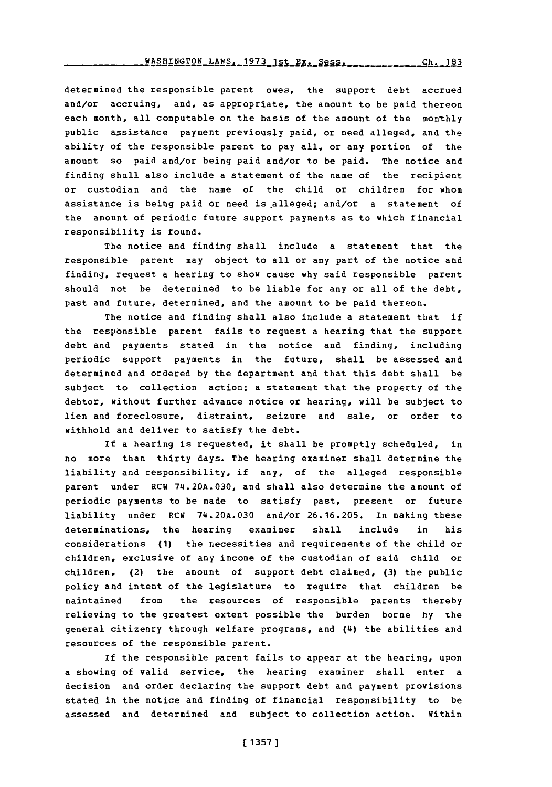Ch. 183 **WAq"TN - -- <sup>=</sup>----------- TON** LAWS **1971 --- 1** 4- **P - &-s.-** 't, **. -- I a 1J**

determined the responsible parent owes, the support debt accrued and/or accruing, and, as appropriate, the amount to be paid thereon each month, all computable on the basis of the amount of the monthly public assistance payment previously paid, or need alleged, and the ability of the responsible parent to pay all, or any portion of the amount so paid and/or being paid and/or to be paid. The notice and finding shall also include a statement of the name of the recipient or custodian and the name of the child or children for whom assistance is being paid or need is alleged; and/or a statement of the amount of periodic future support payments as to which financial responsibility is found.

The notice and finding shall include a statement that the responsible parent may object to all or any part of the notice and finding, request a hearing to show cause why said responsible parent should not be determined to be liable for any or all of the debt, past and future, determined, and the amount to be paid thereon.

The notice and finding shall also include a statement that if the responsible parent fails to request a hearing that the support debt and payments stated in the notice and finding, including periodic support payments in the future, shall be assessed and determined and ordered **by** the department and that this debt shall be subject to collection action; a statement that the property of the debtor, without further advance notice or hearing, will be subject to lien and foreclosure, distraint, seizure and sale, or order to withhold and deliver to satisfy the debt.

If a hearing is requested, it shall be promptly scheduled, in no more than thirty days. The hearing examiner shall determine the liability and responsibility, if any, of the alleged responsible parent under RCW **74.20lA.030,** and shall also determine the amount of periodic payments to be made to satisfy past, present or future liability under RCW **74.20A.030** and/or **26.16.205.** In making these determinations, the hearing examiner shall include in his considerations **(1)** the necessities and requirements of the child or children, exclusive of any income of the custodian of said child or children, (2) the amount of support debt claimed, **(3)** the public policy and intent of the legislature to reguire that children be maintained from the resources of responsible parents thereby relieving to the greatest extent possible the burden borne **by** the general citizenry through welfare programs, and **(L4)** the abilities and resources of the responsible parent.

If the responsible parent fails to appear at the hearing, upon a showing of valid service, the hearing examiner shall enter a decision and order declaring the support debt and payment provisions stated in the notice and finding of financial responsibility to be assessed and determined and subject to collection action. Within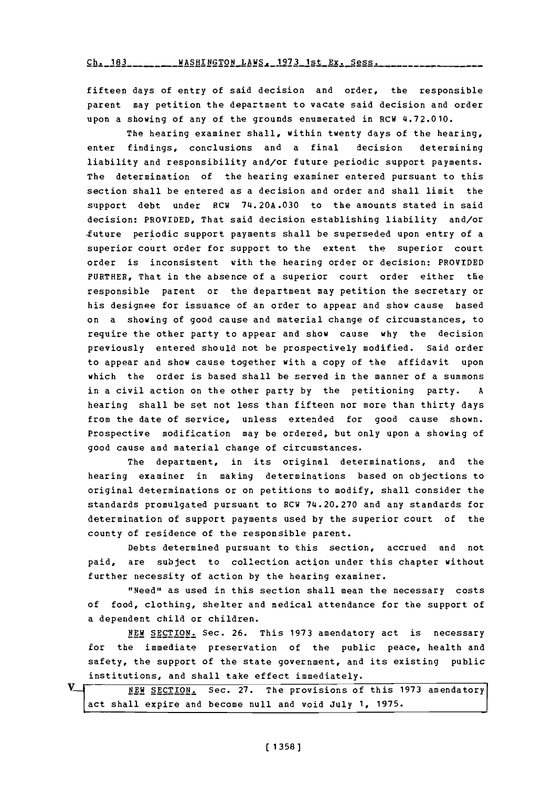**Ch. 183** WASHINGTON LAWS, 1973 1st Ex. Sess.

fifteen days of entry of said decision and *order,* the responsible parent may petition the department to vacate said decision and order upon a showing of any of the grounds enumerated in RCW 4.72.010.

The hearing examiner shall, within twenty days of the hearing, enter findings, conclusions and a final decision determining liability and responsibility and/or future periodic support payments. The determination of the hearing examiner entered pursuant to this section shall be entered as a decision and order and shall limit the support debt under RCW **74.20A.030** to the amounts stated in said decision: PROVIDED, That said decision establishing liability and/or -future periodic support payments shall be superseded upon entry of a superior court order for support to the extent the superior court order is inconsistent with the hearing order or decision: PROVIDED FURTHER, That in the absence of a superior court order either the responsible parent or the department may petition the secretary or his designee for issuance of an order to appear and show cause based on a showing of good cause and material change of circumstances, to require the other party to appear and show cause why the decision previously entered should not be prospectively modified. Said order to appear and show cause together with a copy of the affidavit upon which the order is based shall be served in the manner of a summons in a civil action on the other party **by** the petitioning party. **<sup>A</sup>** hearing shall be set not less than fifteen nor more than thirty days from the date of service, unless extended for good cause shown. Prospective modification may be ordered, but only upon a showing **of** good cause amd material change of circumstances.

The department, in its original determinations, and the hearing examiner in making determinations based on objections to original determinations or on petitions to modify, shall consider the standards promulgated pursuant to RCW **74.20.270** and any standards for determination of support payments used **by** the superior court of the county of residence of the responsible parent.

Debts determined pursuant to this section, accrued and not paid, are subject to collection action under this chapter without further necessity of action **by** the hearing examiner.

"Need" as used in this section shall mean the necessary costs of food, clothing, shelter and medical attendance for the support of a dependent child or children.

**NEW** SECTION. Sec. **26.** This **1973** amendatory act is necessary for the immediate preservation of the public peace, health and safety, the support of the state government, and its existing public institutions, and shall take effect immediately.

| $\mathbf{v}\lrcorner$ |  | NEW SECTION. Sec. 27. The provisions of this 1973 amendatory |  |  |  |  |  |  |
|-----------------------|--|--------------------------------------------------------------|--|--|--|--|--|--|
|                       |  | act shall expire and become null and void July 1, 1975.      |  |  |  |  |  |  |